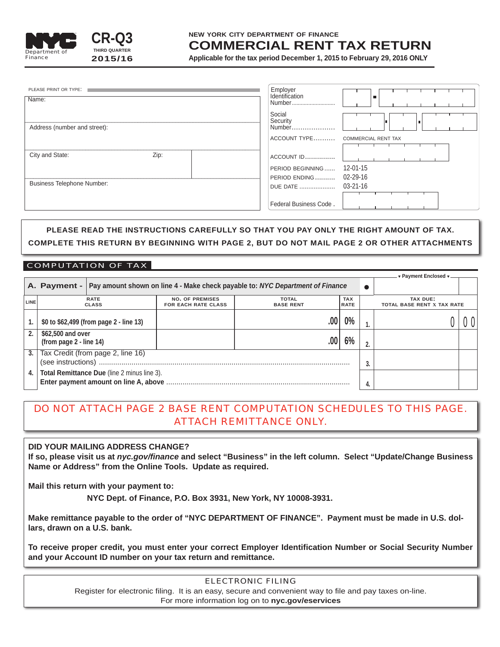



## **NEW YORK CITY DEPARTMENT OF FINANCE COMMERCIAL RENT TAX RETURN**

**Applicable for the tax period December 1, 2015 to February 29, 2016 ONLY**

| PLEASE PRINT OR TYPE:<br>Name:    | Employer<br>Identification              |  |
|-----------------------------------|-----------------------------------------|--|
| Address (number and street):      | Social<br>Security<br>Number            |  |
|                                   | ACCOUNT TYPE COMMERCIAL RENT TAX        |  |
| <b>City and State:</b><br>Zip:    | ACCOUNT ID<br>PERIOD BEGINNING 12-01-15 |  |
| <b>Business Telephone Number:</b> | PERIOD ENDING 02-29-16                  |  |
|                                   | <b>Federal Business Code.</b>           |  |

## **PLEASE READ THE INSTRUCTIONS CAREFULLY SO THAT YOU PAY ONLY THE RIGHT AMOUNT OF TAX. COMPLETE THIS RETURN BY BEGINNING WITH PAGE 2, BUT DO NOT MAIL PAGE 2 OR OTHER ATTACHMENTS**

## COMPUTATION OF TAX

|      |                                                                                             |  |                                                      |                                                                               |                           |                | ▼ Payment Enclosed ▼                                 |  |  |  |
|------|---------------------------------------------------------------------------------------------|--|------------------------------------------------------|-------------------------------------------------------------------------------|---------------------------|----------------|------------------------------------------------------|--|--|--|
|      | A. Payment -                                                                                |  |                                                      | Pay amount shown on line 4 - Make check payable to: NYC Department of Finance |                           | $\bullet$      |                                                      |  |  |  |
| LINE | <b>RATE</b><br><b>CLASS</b>                                                                 |  | <b>NO. OF PREMISES</b><br><b>FOR EACH RATE CLASS</b> | <b>TOTAL</b><br><b>BASE RENT</b>                                              | <b>TAX</b><br><b>RATE</b> |                | <b>TAX DUE:</b><br><b>TOTAL BASE RENT X TAX RATE</b> |  |  |  |
|      | \$0 to \$62,499 (from page 2 - line 13)                                                     |  | .00                                                  | $0\%$                                                                         |                           |                |                                                      |  |  |  |
| 2.   | \$62,500 and over<br>(from page 2 - line 14)                                                |  |                                                      |                                                                               | 6%                        | $\Omega$       |                                                      |  |  |  |
| 3.   | Tax Credit (from page 2, line 16)<br>(see instructions)                                     |  |                                                      |                                                                               |                           | $\Omega$<br>5. |                                                      |  |  |  |
| 4.   | <b>Total Remittance Due (line 2 minus line 3).</b><br>Enter payment amount on line A, above |  |                                                      |                                                                               |                           | 4.             |                                                      |  |  |  |

## DO NOT ATTACH PAGE 2 BASE RENT COMPUTATION SCHEDULES TO THIS PAGE. ATTACH REMITTANCE ONLY.

**DID YOUR MAILING ADDRESS CHANGE?**

**If so, please visit us at** *nyc.gov/finance* **and select "Business" in the left column. Select "Update/Change Business Name or Address" from the Online Tools. Update as required.**

**Mail this return with your payment to:**

**NYC Dept. of Finance, P.O. Box 3931, New York, NY 10008-3931.**

**Make remittance payable to the order of "NYC DEPARTMENT OF FINANCE". Payment must be made in U.S. dollars, drawn on a U.S. bank.**

**To receive proper credit, you must enter your correct Employer Identification Number or Social Security Number and your Account ID number on your tax return and remittance.**

ELECTRONIC FILING

Register for electronic filing. It is an easy, secure and convenient way to file and pay taxes on-line. For more information log on to **nyc.gov/eservices**